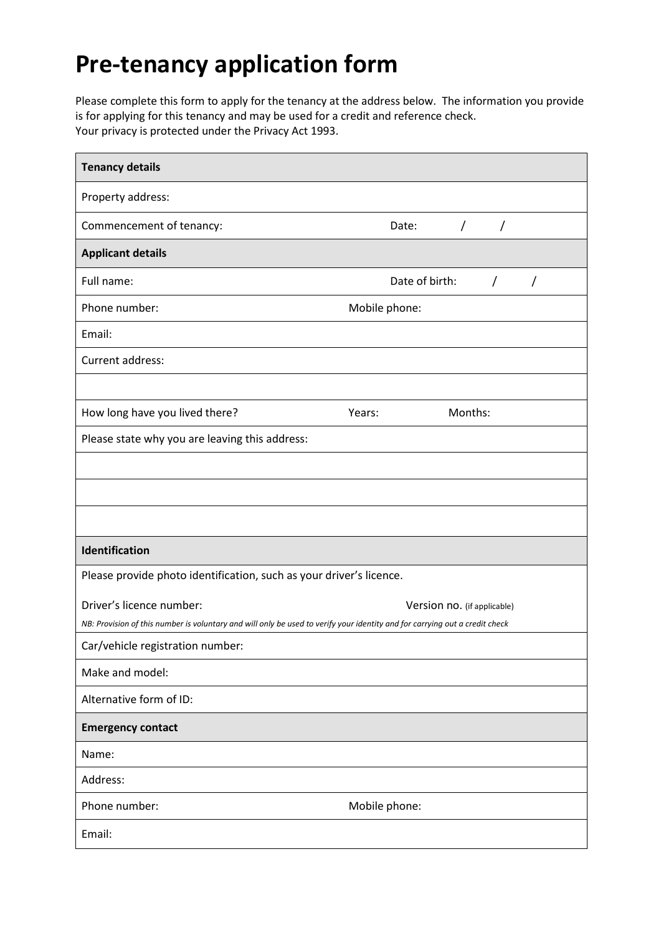## **Pre-tenancy application form**

Please complete this form to apply for the tenancy at the address below. The information you provide is for applying for this tenancy and may be used for a credit and reference check. Your privacy is protected under the Privacy Act 1993.

| <b>Tenancy details</b>                                                                                                      |                                          |  |
|-----------------------------------------------------------------------------------------------------------------------------|------------------------------------------|--|
| Property address:                                                                                                           |                                          |  |
| Commencement of tenancy:                                                                                                    | Date:<br>$\sqrt{2}$<br>/                 |  |
| <b>Applicant details</b>                                                                                                    |                                          |  |
| Full name:                                                                                                                  | Date of birth:<br>$\sqrt{2}$<br>$\prime$ |  |
| Phone number:                                                                                                               | Mobile phone:                            |  |
| Email:                                                                                                                      |                                          |  |
| Current address:                                                                                                            |                                          |  |
|                                                                                                                             |                                          |  |
| How long have you lived there?                                                                                              | Months:<br>Years:                        |  |
| Please state why you are leaving this address:                                                                              |                                          |  |
|                                                                                                                             |                                          |  |
|                                                                                                                             |                                          |  |
|                                                                                                                             |                                          |  |
| Identification                                                                                                              |                                          |  |
| Please provide photo identification, such as your driver's licence.                                                         |                                          |  |
| Driver's licence number:                                                                                                    | Version no. (if applicable)              |  |
| NB: Provision of this number is voluntary and will only be used to verify your identity and for carrying out a credit check |                                          |  |
| Car/vehicle registration number:                                                                                            |                                          |  |
| Make and model:                                                                                                             |                                          |  |
| Alternative form of ID:                                                                                                     |                                          |  |
| <b>Emergency contact</b>                                                                                                    |                                          |  |
| Name:                                                                                                                       |                                          |  |
| Address:                                                                                                                    |                                          |  |
| Phone number:                                                                                                               | Mobile phone:                            |  |
| Email:                                                                                                                      |                                          |  |